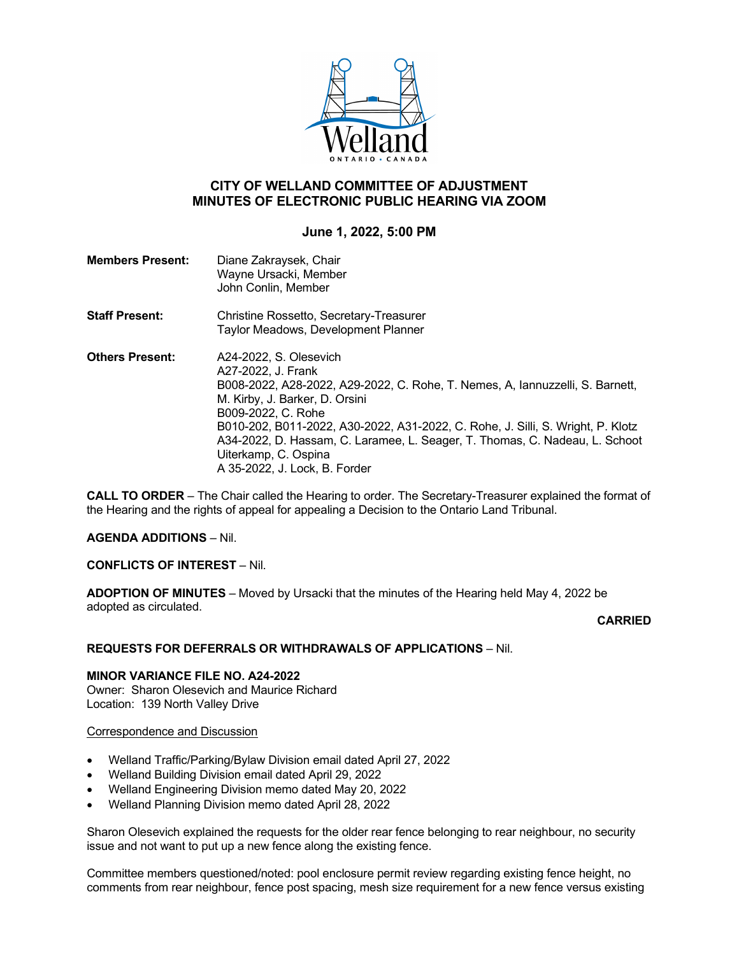

# **CITY OF WELLAND COMMITTEE OF ADJUSTMENT MINUTES OF ELECTRONIC PUBLIC HEARING VIA ZOOM**

# **June 1, 2022, 5:00 PM**

| <b>Members Present:</b> | Diane Zakraysek, Chair<br>Wayne Ursacki, Member<br>John Conlin, Member                                                                                                                                                                                                                                                                                                                                           |
|-------------------------|------------------------------------------------------------------------------------------------------------------------------------------------------------------------------------------------------------------------------------------------------------------------------------------------------------------------------------------------------------------------------------------------------------------|
| <b>Staff Present:</b>   | Christine Rossetto, Secretary-Treasurer<br>Taylor Meadows, Development Planner                                                                                                                                                                                                                                                                                                                                   |
| <b>Others Present:</b>  | A24-2022, S. Olesevich<br>A27-2022, J. Frank<br>B008-2022, A28-2022, A29-2022, C. Rohe, T. Nemes, A, lannuzzelli, S. Barnett,<br>M. Kirby, J. Barker, D. Orsini<br>B009-2022, C. Rohe<br>B010-202, B011-2022, A30-2022, A31-2022, C. Rohe, J. Silli, S. Wright, P. Klotz<br>A34-2022, D. Hassam, C. Laramee, L. Seager, T. Thomas, C. Nadeau, L. Schoot<br>Uiterkamp, C. Ospina<br>A 35-2022, J. Lock, B. Forder |

**CALL TO ORDER** – The Chair called the Hearing to order. The Secretary-Treasurer explained the format of the Hearing and the rights of appeal for appealing a Decision to the Ontario Land Tribunal.

### **AGENDA ADDITIONS** – Nil.

## **CONFLICTS OF INTEREST** – Nil.

**ADOPTION OF MINUTES** – Moved by Ursacki that the minutes of the Hearing held May 4, 2022 be adopted as circulated.

### **CARRIED**

### **REQUESTS FOR DEFERRALS OR WITHDRAWALS OF APPLICATIONS** – Nil.

#### **MINOR VARIANCE FILE NO. A24-2022** Owner: Sharon Olesevich and Maurice Richard Location: 139 North Valley Drive

### Correspondence and Discussion

- Welland Traffic/Parking/Bylaw Division email dated April 27, 2022
- Welland Building Division email dated April 29, 2022
- Welland Engineering Division memo dated May 20, 2022
- Welland Planning Division memo dated April 28, 2022

Sharon Olesevich explained the requests for the older rear fence belonging to rear neighbour, no security issue and not want to put up a new fence along the existing fence.

Committee members questioned/noted: pool enclosure permit review regarding existing fence height, no comments from rear neighbour, fence post spacing, mesh size requirement for a new fence versus existing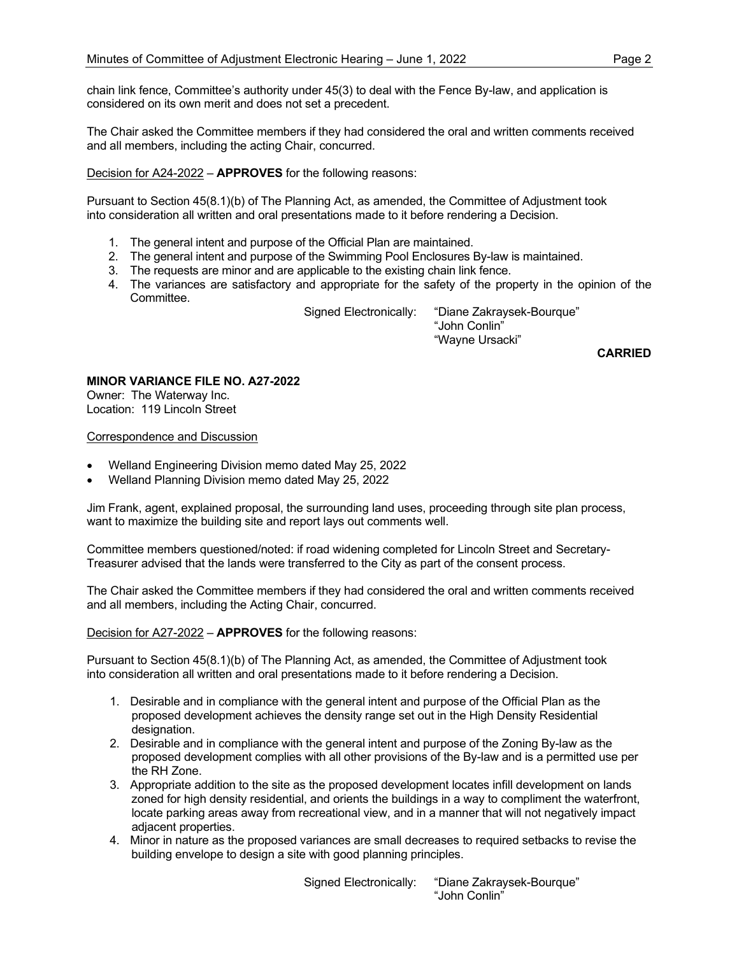chain link fence, Committee's authority under 45(3) to deal with the Fence By-law, and application is considered on its own merit and does not set a precedent.

The Chair asked the Committee members if they had considered the oral and written comments received and all members, including the acting Chair, concurred.

Decision for A24-2022 – **APPROVES** for the following reasons:

Pursuant to Section 45(8.1)(b) of The Planning Act, as amended, the Committee of Adjustment took into consideration all written and oral presentations made to it before rendering a Decision.

- 1. The general intent and purpose of the Official Plan are maintained.
- 2. The general intent and purpose of the Swimming Pool Enclosures By-law is maintained.
- 3. The requests are minor and are applicable to the existing chain link fence.
- 4. The variances are satisfactory and appropriate for the safety of the property in the opinion of the Committee.

 Signed Electronically: "Diane Zakraysek-Bourque" "John Conlin" "Wayne Ursacki"

**CARRIED**

# **MINOR VARIANCE FILE NO. A27-2022**

Owner: The Waterway Inc. Location: 119 Lincoln Street

#### Correspondence and Discussion

- Welland Engineering Division memo dated May 25, 2022
- Welland Planning Division memo dated May 25, 2022

Jim Frank, agent, explained proposal, the surrounding land uses, proceeding through site plan process, want to maximize the building site and report lays out comments well.

Committee members questioned/noted: if road widening completed for Lincoln Street and Secretary-Treasurer advised that the lands were transferred to the City as part of the consent process.

The Chair asked the Committee members if they had considered the oral and written comments received and all members, including the Acting Chair, concurred.

Decision for A27-2022 – **APPROVES** for the following reasons:

Pursuant to Section 45(8.1)(b) of The Planning Act, as amended, the Committee of Adjustment took into consideration all written and oral presentations made to it before rendering a Decision.

- 1. Desirable and in compliance with the general intent and purpose of the Official Plan as the proposed development achieves the density range set out in the High Density Residential designation.
- 2. Desirable and in compliance with the general intent and purpose of the Zoning By-law as the proposed development complies with all other provisions of the By-law and is a permitted use per the RH Zone.
- 3. Appropriate addition to the site as the proposed development locates infill development on lands zoned for high density residential, and orients the buildings in a way to compliment the waterfront, locate parking areas away from recreational view, and in a manner that will not negatively impact adjacent properties.
- 4. Minor in nature as the proposed variances are small decreases to required setbacks to revise the building envelope to design a site with good planning principles.

 Signed Electronically: "Diane Zakraysek-Bourque" "John Conlin"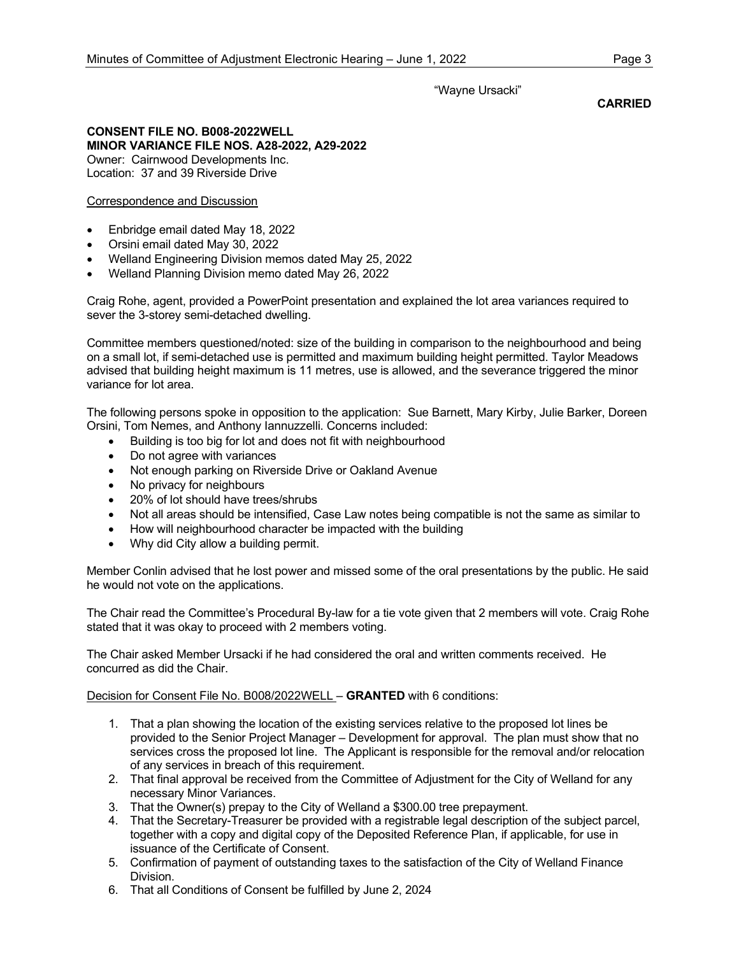## "Wayne Ursacki"

### **CARRIED**

### **CONSENT FILE NO. B008-2022WELL MINOR VARIANCE FILE NOS. A28-2022, A29-2022** Owner: Cairnwood Developments Inc.

Location: 37 and 39 Riverside Drive

## Correspondence and Discussion

- Enbridge email dated May 18, 2022
- Orsini email dated May 30, 2022
- Welland Engineering Division memos dated May 25, 2022
- Welland Planning Division memo dated May 26, 2022

Craig Rohe, agent, provided a PowerPoint presentation and explained the lot area variances required to sever the 3-storey semi-detached dwelling.

Committee members questioned/noted: size of the building in comparison to the neighbourhood and being on a small lot, if semi-detached use is permitted and maximum building height permitted. Taylor Meadows advised that building height maximum is 11 metres, use is allowed, and the severance triggered the minor variance for lot area.

The following persons spoke in opposition to the application: Sue Barnett, Mary Kirby, Julie Barker, Doreen Orsini, Tom Nemes, and Anthony Iannuzzelli. Concerns included:

- Building is too big for lot and does not fit with neighbourhood
- Do not agree with variances
- Not enough parking on Riverside Drive or Oakland Avenue
- No privacy for neighbours
- 20% of lot should have trees/shrubs
- Not all areas should be intensified, Case Law notes being compatible is not the same as similar to
- How will neighbourhood character be impacted with the building
- Why did City allow a building permit.

Member Conlin advised that he lost power and missed some of the oral presentations by the public. He said he would not vote on the applications.

The Chair read the Committee's Procedural By-law for a tie vote given that 2 members will vote. Craig Rohe stated that it was okay to proceed with 2 members voting.

The Chair asked Member Ursacki if he had considered the oral and written comments received. He concurred as did the Chair.

Decision for Consent File No. B008/2022WELL – **GRANTED** with 6 conditions:

- 1. That a plan showing the location of the existing services relative to the proposed lot lines be provided to the Senior Project Manager – Development for approval. The plan must show that no services cross the proposed lot line. The Applicant is responsible for the removal and/or relocation of any services in breach of this requirement.
- 2. That final approval be received from the Committee of Adjustment for the City of Welland for any necessary Minor Variances.
- 3. That the Owner(s) prepay to the City of Welland a \$300.00 tree prepayment.
- 4. That the Secretary-Treasurer be provided with a registrable legal description of the subject parcel, together with a copy and digital copy of the Deposited Reference Plan, if applicable, for use in issuance of the Certificate of Consent.
- 5. Confirmation of payment of outstanding taxes to the satisfaction of the City of Welland Finance Division.
- 6. That all Conditions of Consent be fulfilled by June 2, 2024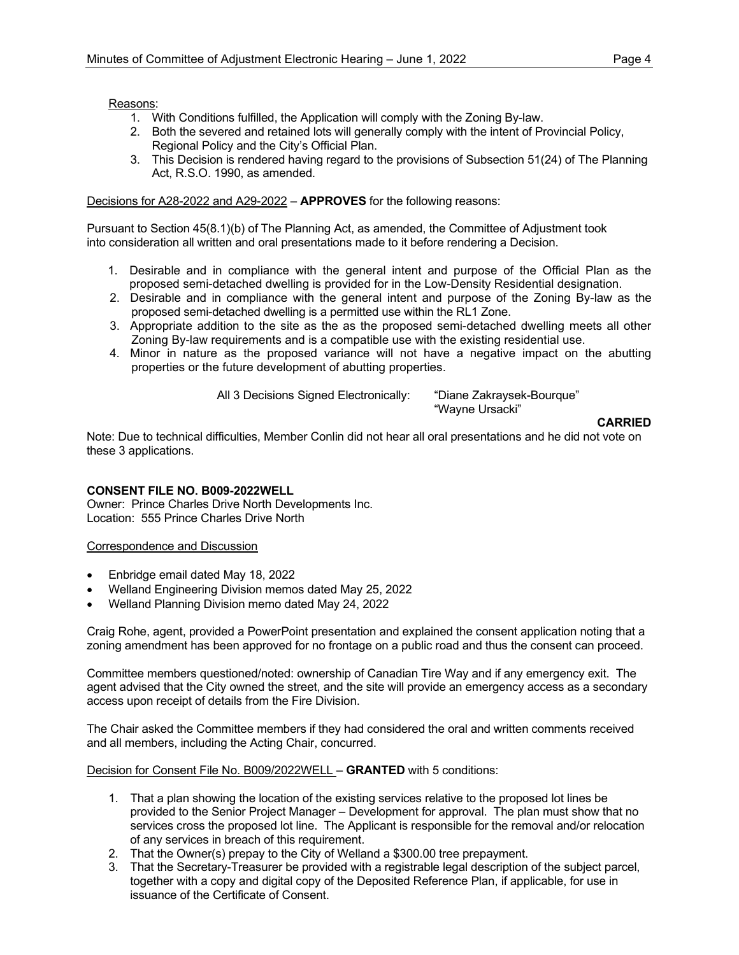Reasons:

- 1. With Conditions fulfilled, the Application will comply with the Zoning By-law.
- 2. Both the severed and retained lots will generally comply with the intent of Provincial Policy, Regional Policy and the City's Official Plan.
- 3. This Decision is rendered having regard to the provisions of Subsection 51(24) of The Planning Act, R.S.O. 1990, as amended.

## Decisions for A28-2022 and A29-2022 – **APPROVES** for the following reasons:

Pursuant to Section 45(8.1)(b) of The Planning Act, as amended, the Committee of Adjustment took into consideration all written and oral presentations made to it before rendering a Decision.

- 1. Desirable and in compliance with the general intent and purpose of the Official Plan as the proposed semi-detached dwelling is provided for in the Low-Density Residential designation.
- 2. Desirable and in compliance with the general intent and purpose of the Zoning By-law as the proposed semi-detached dwelling is a permitted use within the RL1 Zone.
- 3. Appropriate addition to the site as the as the proposed semi-detached dwelling meets all other Zoning By-law requirements and is a compatible use with the existing residential use.
- 4. Minor in nature as the proposed variance will not have a negative impact on the abutting properties or the future development of abutting properties.

All 3 Decisions Signed Electronically: "Diane Zakraysek-Bourque"

"Wayne Ursacki"

#### **CARRIED**

Note: Due to technical difficulties, Member Conlin did not hear all oral presentations and he did not vote on these 3 applications.

## **CONSENT FILE NO. B009-2022WELL**

Owner: Prince Charles Drive North Developments Inc. Location: 555 Prince Charles Drive North

Correspondence and Discussion

- Enbridge email dated May 18, 2022
- Welland Engineering Division memos dated May 25, 2022
- Welland Planning Division memo dated May 24, 2022

Craig Rohe, agent, provided a PowerPoint presentation and explained the consent application noting that a zoning amendment has been approved for no frontage on a public road and thus the consent can proceed.

Committee members questioned/noted: ownership of Canadian Tire Way and if any emergency exit. The agent advised that the City owned the street, and the site will provide an emergency access as a secondary access upon receipt of details from the Fire Division.

The Chair asked the Committee members if they had considered the oral and written comments received and all members, including the Acting Chair, concurred.

Decision for Consent File No. B009/2022WELL – **GRANTED** with 5 conditions:

- 1. That a plan showing the location of the existing services relative to the proposed lot lines be provided to the Senior Project Manager – Development for approval. The plan must show that no services cross the proposed lot line. The Applicant is responsible for the removal and/or relocation of any services in breach of this requirement.
- 2. That the Owner(s) prepay to the City of Welland a \$300.00 tree prepayment.
- 3. That the Secretary-Treasurer be provided with a registrable legal description of the subject parcel, together with a copy and digital copy of the Deposited Reference Plan, if applicable, for use in issuance of the Certificate of Consent.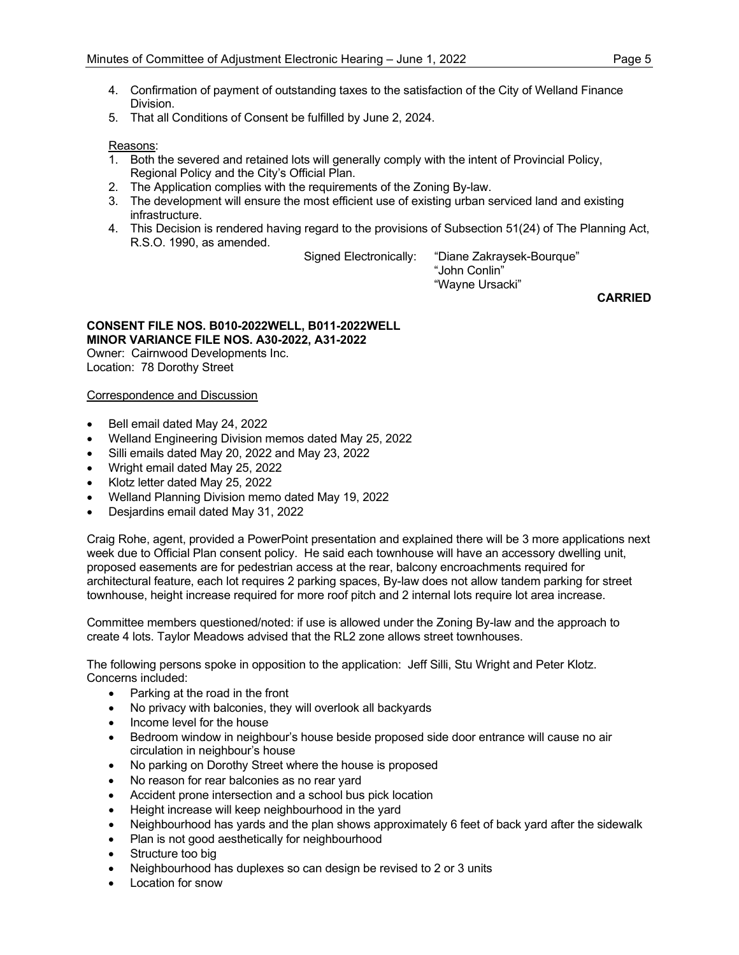- 4. Confirmation of payment of outstanding taxes to the satisfaction of the City of Welland Finance Division.
- 5. That all Conditions of Consent be fulfilled by June 2, 2024.

Reasons:

- 1. Both the severed and retained lots will generally comply with the intent of Provincial Policy, Regional Policy and the City's Official Plan.
- 2. The Application complies with the requirements of the Zoning By-law.
- 3. The development will ensure the most efficient use of existing urban serviced land and existing infrastructure.
- 4. This Decision is rendered having regard to the provisions of Subsection 51(24) of The Planning Act, R.S.O. 1990, as amended.

Signed Electronically: "Diane Zakraysek-Bourque"

 "John Conlin" "Wayne Ursacki"

**CARRIED**

## **CONSENT FILE NOS. B010-2022WELL, B011-2022WELL MINOR VARIANCE FILE NOS. A30-2022, A31-2022**

Owner: Cairnwood Developments Inc. Location: 78 Dorothy Street

### Correspondence and Discussion

- Bell email dated May 24, 2022
- Welland Engineering Division memos dated May 25, 2022
- Silli emails dated May 20, 2022 and May 23, 2022
- Wright email dated May 25, 2022
- Klotz letter dated May 25, 2022
- Welland Planning Division memo dated May 19, 2022
- Desjardins email dated May 31, 2022

Craig Rohe, agent, provided a PowerPoint presentation and explained there will be 3 more applications next week due to Official Plan consent policy. He said each townhouse will have an accessory dwelling unit, proposed easements are for pedestrian access at the rear, balcony encroachments required for architectural feature, each lot requires 2 parking spaces, By-law does not allow tandem parking for street townhouse, height increase required for more roof pitch and 2 internal lots require lot area increase.

Committee members questioned/noted: if use is allowed under the Zoning By-law and the approach to create 4 lots. Taylor Meadows advised that the RL2 zone allows street townhouses.

The following persons spoke in opposition to the application: Jeff Silli, Stu Wright and Peter Klotz. Concerns included:

- Parking at the road in the front
- No privacy with balconies, they will overlook all backyards
- Income level for the house
- Bedroom window in neighbour's house beside proposed side door entrance will cause no air circulation in neighbour's house
- No parking on Dorothy Street where the house is proposed
- No reason for rear balconies as no rear yard
- Accident prone intersection and a school bus pick location
- Height increase will keep neighbourhood in the yard
- Neighbourhood has yards and the plan shows approximately 6 feet of back yard after the sidewalk
- Plan is not good aesthetically for neighbourhood
- Structure too big
- Neighbourhood has duplexes so can design be revised to 2 or 3 units
- Location for snow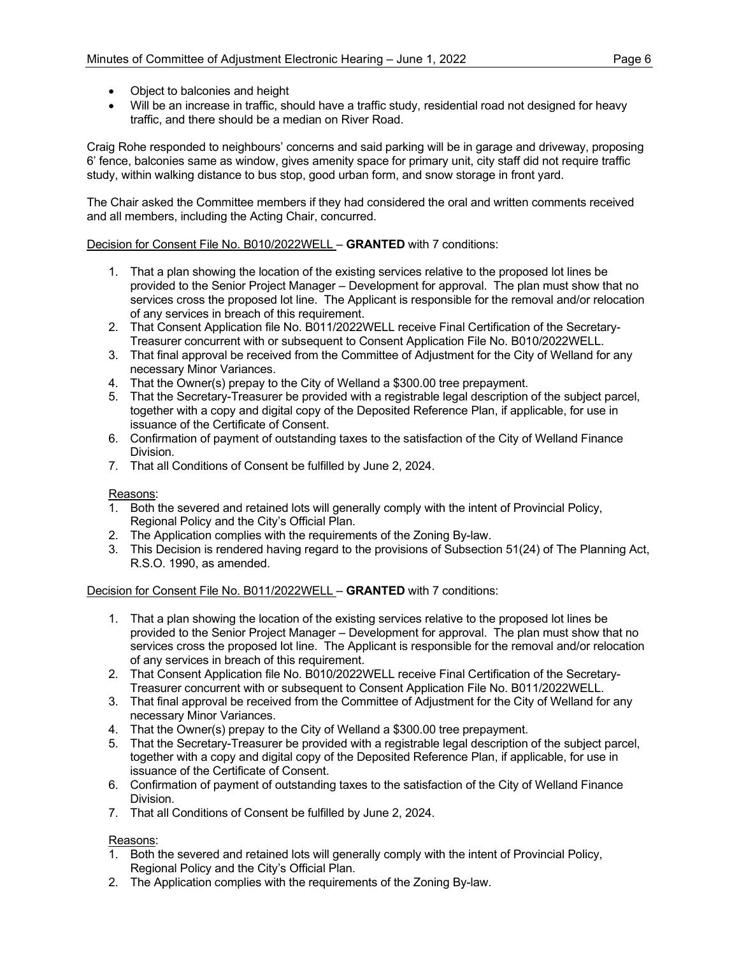- Object to balconies and height
- Will be an increase in traffic, should have a traffic study, residential road not designed for heavy traffic, and there should be a median on River Road.

Craig Rohe responded to neighbours' concerns and said parking will be in garage and driveway, proposing 6' fence, balconies same as window, gives amenity space for primary unit, city staff did not require traffic study, within walking distance to bus stop, good urban form, and snow storage in front yard.

The Chair asked the Committee members if they had considered the oral and written comments received and all members, including the Acting Chair, concurred.

## Decision for Consent File No. B010/2022WELL – **GRANTED** with 7 conditions:

- 1. That a plan showing the location of the existing services relative to the proposed lot lines be provided to the Senior Project Manager – Development for approval. The plan must show that no services cross the proposed lot line. The Applicant is responsible for the removal and/or relocation of any services in breach of this requirement.
- 2. That Consent Application file No. B011/2022WELL receive Final Certification of the Secretary-Treasurer concurrent with or subsequent to Consent Application File No. B010/2022WELL.
- 3. That final approval be received from the Committee of Adjustment for the City of Welland for any necessary Minor Variances.
- 4. That the Owner(s) prepay to the City of Welland a \$300.00 tree prepayment.
- 5. That the Secretary-Treasurer be provided with a registrable legal description of the subject parcel, together with a copy and digital copy of the Deposited Reference Plan, if applicable, for use in issuance of the Certificate of Consent.
- 6. Confirmation of payment of outstanding taxes to the satisfaction of the City of Welland Finance Division.
- 7. That all Conditions of Consent be fulfilled by June 2, 2024.

### Reasons:

- 1. Both the severed and retained lots will generally comply with the intent of Provincial Policy, Regional Policy and the City's Official Plan.
- 2. The Application complies with the requirements of the Zoning By-law.
- 3. This Decision is rendered having regard to the provisions of Subsection 51(24) of The Planning Act, R.S.O. 1990, as amended.

Decision for Consent File No. B011/2022WELL – **GRANTED** with 7 conditions:

- 1. That a plan showing the location of the existing services relative to the proposed lot lines be provided to the Senior Project Manager – Development for approval. The plan must show that no services cross the proposed lot line. The Applicant is responsible for the removal and/or relocation of any services in breach of this requirement.
- 2. That Consent Application file No. B010/2022WELL receive Final Certification of the Secretary-Treasurer concurrent with or subsequent to Consent Application File No. B011/2022WELL.
- 3. That final approval be received from the Committee of Adjustment for the City of Welland for any necessary Minor Variances.
- 4. That the Owner(s) prepay to the City of Welland a \$300.00 tree prepayment.
- 5. That the Secretary-Treasurer be provided with a registrable legal description of the subject parcel, together with a copy and digital copy of the Deposited Reference Plan, if applicable, for use in issuance of the Certificate of Consent.
- 6. Confirmation of payment of outstanding taxes to the satisfaction of the City of Welland Finance Division.
- 7. That all Conditions of Consent be fulfilled by June 2, 2024.

## Reasons:

- 1. Both the severed and retained lots will generally comply with the intent of Provincial Policy, Regional Policy and the City's Official Plan.
- 2. The Application complies with the requirements of the Zoning By-law.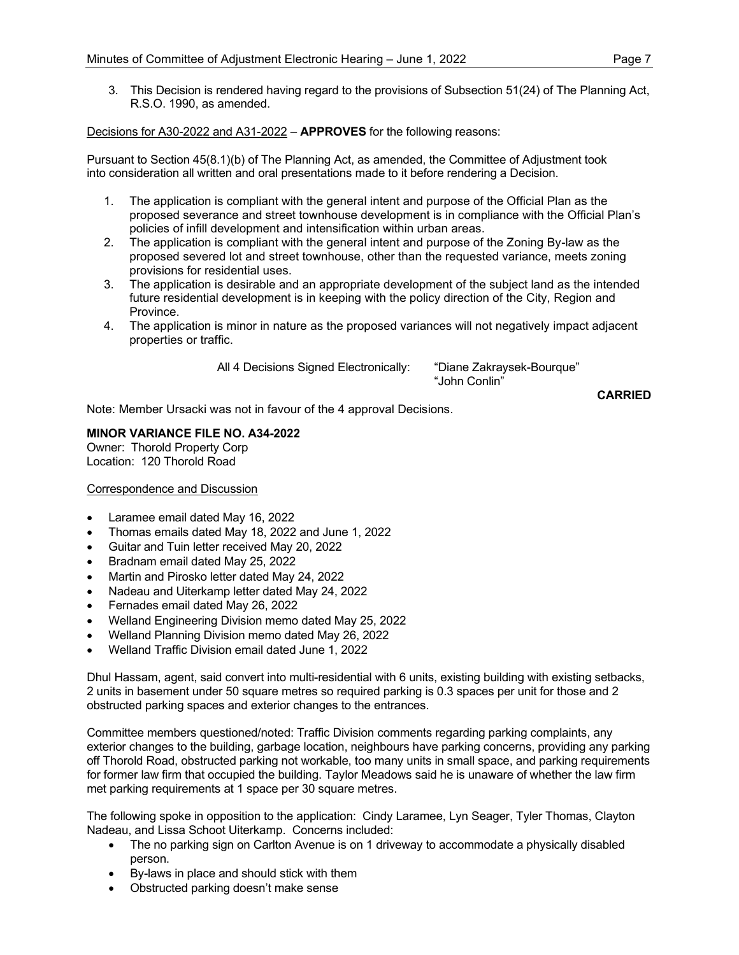3. This Decision is rendered having regard to the provisions of Subsection 51(24) of The Planning Act, R.S.O. 1990, as amended.

Decisions for A30-2022 and A31-2022 – **APPROVES** for the following reasons:

Pursuant to Section 45(8.1)(b) of The Planning Act, as amended, the Committee of Adjustment took into consideration all written and oral presentations made to it before rendering a Decision.

- 1. The application is compliant with the general intent and purpose of the Official Plan as the proposed severance and street townhouse development is in compliance with the Official Plan's policies of infill development and intensification within urban areas.
- 2. The application is compliant with the general intent and purpose of the Zoning By-law as the proposed severed lot and street townhouse, other than the requested variance, meets zoning provisions for residential uses.
- 3. The application is desirable and an appropriate development of the subject land as the intended future residential development is in keeping with the policy direction of the City, Region and Province.
- 4. The application is minor in nature as the proposed variances will not negatively impact adjacent properties or traffic.

All 4 Decisions Signed Electronically: "Diane Zakraysek-Bourque"

"John Conlin"

**CARRIED CARRIED** Note: Member Ursacki was not in favour of the 4 approval Decisions.

**MINOR VARIANCE FILE NO. A34-2022**

Owner: Thorold Property Corp Location: 120 Thorold Road

### Correspondence and Discussion

- Laramee email dated May 16, 2022
- Thomas emails dated May 18, 2022 and June 1, 2022
- Guitar and Tuin letter received May 20, 2022
- Bradnam email dated May 25, 2022
- Martin and Pirosko letter dated May 24, 2022
- Nadeau and Uiterkamp letter dated May 24, 2022
- Fernades email dated May 26, 2022
- Welland Engineering Division memo dated May 25, 2022
- Welland Planning Division memo dated May 26, 2022
- Welland Traffic Division email dated June 1, 2022

Dhul Hassam, agent, said convert into multi-residential with 6 units, existing building with existing setbacks, 2 units in basement under 50 square metres so required parking is 0.3 spaces per unit for those and 2 obstructed parking spaces and exterior changes to the entrances.

Committee members questioned/noted: Traffic Division comments regarding parking complaints, any exterior changes to the building, garbage location, neighbours have parking concerns, providing any parking off Thorold Road, obstructed parking not workable, too many units in small space, and parking requirements for former law firm that occupied the building. Taylor Meadows said he is unaware of whether the law firm met parking requirements at 1 space per 30 square metres.

The following spoke in opposition to the application: Cindy Laramee, Lyn Seager, Tyler Thomas, Clayton Nadeau, and Lissa Schoot Uiterkamp. Concerns included:

- The no parking sign on Carlton Avenue is on 1 driveway to accommodate a physically disabled person.
- By-laws in place and should stick with them
- Obstructed parking doesn't make sense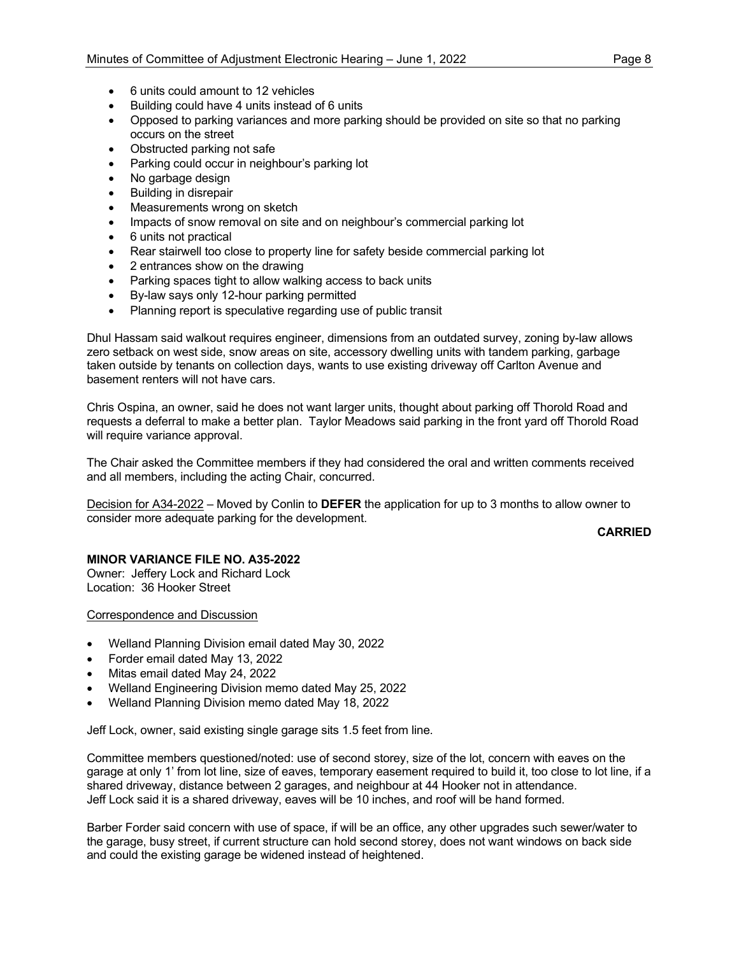- 6 units could amount to 12 vehicles
- Building could have 4 units instead of 6 units
- Opposed to parking variances and more parking should be provided on site so that no parking occurs on the street
- Obstructed parking not safe
- Parking could occur in neighbour's parking lot
- No garbage design
- Building in disrepair
- Measurements wrong on sketch
- Impacts of snow removal on site and on neighbour's commercial parking lot
- 6 units not practical
- Rear stairwell too close to property line for safety beside commercial parking lot
- 2 entrances show on the drawing
- Parking spaces tight to allow walking access to back units
- By-law says only 12-hour parking permitted
- Planning report is speculative regarding use of public transit

Dhul Hassam said walkout requires engineer, dimensions from an outdated survey, zoning by-law allows zero setback on west side, snow areas on site, accessory dwelling units with tandem parking, garbage taken outside by tenants on collection days, wants to use existing driveway off Carlton Avenue and basement renters will not have cars.

Chris Ospina, an owner, said he does not want larger units, thought about parking off Thorold Road and requests a deferral to make a better plan. Taylor Meadows said parking in the front yard off Thorold Road will require variance approval.

The Chair asked the Committee members if they had considered the oral and written comments received and all members, including the acting Chair, concurred.

Decision for A34-2022 – Moved by Conlin to **DEFER** the application for up to 3 months to allow owner to consider more adequate parking for the development.

**CARRIED**

### **MINOR VARIANCE FILE NO. A35-2022**

Owner: Jeffery Lock and Richard Lock Location: 36 Hooker Street

Correspondence and Discussion

- Welland Planning Division email dated May 30, 2022
- Forder email dated May 13, 2022
- Mitas email dated May 24, 2022
- Welland Engineering Division memo dated May 25, 2022
- Welland Planning Division memo dated May 18, 2022

Jeff Lock, owner, said existing single garage sits 1.5 feet from line.

Committee members questioned/noted: use of second storey, size of the lot, concern with eaves on the garage at only 1' from lot line, size of eaves, temporary easement required to build it, too close to lot line, if a shared driveway, distance between 2 garages, and neighbour at 44 Hooker not in attendance. Jeff Lock said it is a shared driveway, eaves will be 10 inches, and roof will be hand formed.

Barber Forder said concern with use of space, if will be an office, any other upgrades such sewer/water to the garage, busy street, if current structure can hold second storey, does not want windows on back side and could the existing garage be widened instead of heightened.